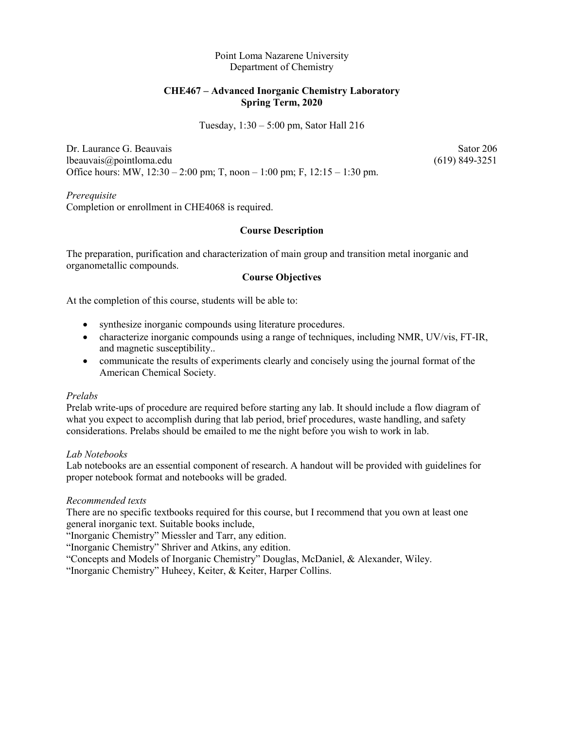Point Loma Nazarene University Department of Chemistry

## **CHE467 – Advanced Inorganic Chemistry Laboratory Spring Term, 2020**

Tuesday, 1:30 – 5:00 pm, Sator Hall 216

Dr. Laurance G. Beauvais Sator 206 lbeauvais@pointloma.edu (619) 849-3251 Office hours: MW, 12:30 – 2:00 pm; T, noon – 1:00 pm; F, 12:15 – 1:30 pm.

*Prerequisite* Completion or enrollment in CHE4068 is required.

## **Course Description**

The preparation, purification and characterization of main group and transition metal inorganic and organometallic compounds.

### **Course Objectives**

At the completion of this course, students will be able to:

- synthesize inorganic compounds using literature procedures.
- characterize inorganic compounds using a range of techniques, including NMR, UV/vis, FT-IR, and magnetic susceptibility..
- communicate the results of experiments clearly and concisely using the journal format of the American Chemical Society.

#### *Prelabs*

Prelab write-ups of procedure are required before starting any lab. It should include a flow diagram of what you expect to accomplish during that lab period, brief procedures, waste handling, and safety considerations. Prelabs should be emailed to me the night before you wish to work in lab.

#### *Lab Notebooks*

Lab notebooks are an essential component of research. A handout will be provided with guidelines for proper notebook format and notebooks will be graded.

## *Recommended texts*

There are no specific textbooks required for this course, but I recommend that you own at least one general inorganic text. Suitable books include,

"Inorganic Chemistry" Miessler and Tarr, any edition.

"Inorganic Chemistry" Shriver and Atkins, any edition.

"Concepts and Models of Inorganic Chemistry" Douglas, McDaniel, & Alexander, Wiley.

"Inorganic Chemistry" Huheey, Keiter, & Keiter, Harper Collins.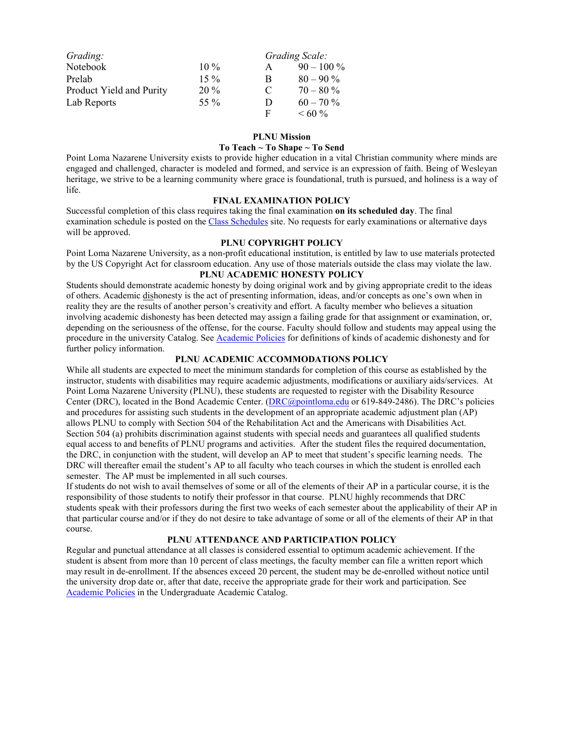| Grading:                 |        |   | Grading Scale: |
|--------------------------|--------|---|----------------|
| Notebook                 | $10\%$ | A | $90 - 100\%$   |
| Prelab                   | $15\%$ | B | $80 - 90\%$    |
| Product Yield and Purity | $20\%$ | C | $70 - 80\%$    |
| Lab Reports              | 55 %   | D | $60 - 70\%$    |
|                          |        | F | $\leq 60\%$    |

#### **PLNU Mission**

#### **To Teach ~ To Shape ~ To Send**

Point Loma Nazarene University exists to provide higher education in a vital Christian community where minds are engaged and challenged, character is modeled and formed, and service is an expression of faith. Being of Wesleyan heritage, we strive to be a learning community where grace is foundational, truth is pursued, and holiness is a way of life.

#### **FINAL EXAMINATION POLICY**

Successful completion of this class requires taking the final examination **on its scheduled day**. The final examination schedule is posted on the [Class Schedules](http://www.pointloma.edu/experience/academics/class-schedules) site. No requests for early examinations or alternative days will be approved.

#### **PLNU COPYRIGHT POLICY**

Point Loma Nazarene University, as a non-profit educational institution, is entitled by law to use materials protected by the US Copyright Act for classroom education. Any use of those materials outside the class may violate the law.

## **PLNU ACADEMIC HONESTY POLICY**

Students should demonstrate academic honesty by doing original work and by giving appropriate credit to the ideas of others. Academic dishonesty is the act of presenting information, ideas, and/or concepts as one's own when in reality they are the results of another person's creativity and effort. A faculty member who believes a situation involving academic dishonesty has been detected may assign a failing grade for that assignment or examination, or, depending on the seriousness of the offense, for the course. Faculty should follow and students may appeal using the procedure in the university Catalog. See [Academic Policies](http://catalog.pointloma.edu/content.php?catoid=41&navoid=2435) for definitions of kinds of academic dishonesty and for further policy information.

#### **PLNU ACADEMIC ACCOMMODATIONS POLICY**

While all students are expected to meet the minimum standards for completion of this course as established by the instructor, students with disabilities may require academic adjustments, modifications or auxiliary aids/services. At Point Loma Nazarene University (PLNU), these students are requested to register with the Disability Resource Center (DRC), located in the Bond Academic Center. [\(DRC@pointloma.edu](mailto:DRC@pointloma.edu) or 619-849-2486). The DRC's policies and procedures for assisting such students in the development of an appropriate academic adjustment plan (AP) allows PLNU to comply with Section 504 of the Rehabilitation Act and the Americans with Disabilities Act. Section 504 (a) prohibits discrimination against students with special needs and guarantees all qualified students equal access to and benefits of PLNU programs and activities. After the student files the required documentation, the DRC, in conjunction with the student, will develop an AP to meet that student's specific learning needs. The DRC will thereafter email the student's AP to all faculty who teach courses in which the student is enrolled each semester. The AP must be implemented in all such courses.

If students do not wish to avail themselves of some or all of the elements of their AP in a particular course, it is the responsibility of those students to notify their professor in that course. PLNU highly recommends that DRC students speak with their professors during the first two weeks of each semester about the applicability of their AP in that particular course and/or if they do not desire to take advantage of some or all of the elements of their AP in that course.

#### **PLNU ATTENDANCE AND PARTICIPATION POLICY**

Regular and punctual attendance at all classes is considered essential to optimum academic achievement. If the student is absent from more than 10 percent of class meetings, the faculty member can file a written report which may result in de-enrollment. If the absences exceed 20 percent, the student may be de-enrolled without notice until the university drop date or, after that date, receive the appropriate grade for their work and participation. See [Academic Policies](http://catalog.pointloma.edu/content.php?catoid=41&navoid=2435) in the Undergraduate Academic Catalog.